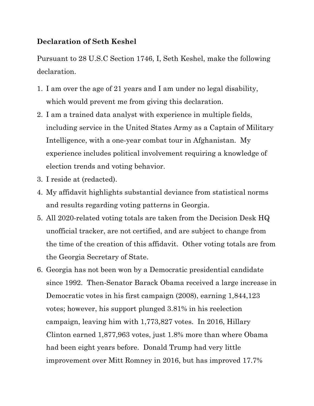## **Declaration of Seth Keshel**

Pursuant to 28 U.S.C Section 1746, I, Seth Keshel, make the following declaration.

- 1. I am over the age of 21 years and I am under no legal disability, which would prevent me from giving this declaration.
- 2. I am a trained data analyst with experience in multiple fields, including service in the United States Army as a Captain of Military Intelligence, with a one-year combat tour in Afghanistan. My experience includes political involvement requiring a knowledge of election trends and voting behavior.
- 3. I reside at (redacted).
- 4. My affidavit highlights substantial deviance from statistical norms and results regarding voting patterns in Georgia.
- 5. All 2020-related voting totals are taken from the Decision Desk HQ unofficial tracker, are not certified, and are subject to change from the time of the creation of this affidavit. Other voting totals are from the Georgia Secretary of State.
- 6. Georgia has not been won by a Democratic presidential candidate since 1992. Then-Senator Barack Obama received a large increase in Democratic votes in his first campaign (2008), earning 1,844,123 votes; however, his support plunged 3.81% in his reelection campaign, leaving him with 1,773,827 votes. In 2016, Hillary Clinton earned 1,877,963 votes, just 1.8% more than where Obama had been eight years before. Donald Trump had very little improvement over Mitt Romney in 2016, but has improved 17.7%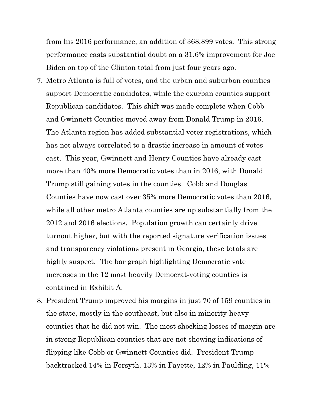from his 2016 performance, an addition of 368,899 votes. This strong performance casts substantial doubt on a 31.6% improvement for Joe Biden on top of the Clinton total from just four years ago.

- 7. Metro Atlanta is full of votes, and the urban and suburban counties support Democratic candidates, while the exurban counties support Republican candidates. This shift was made complete when Cobb and Gwinnett Counties moved away from Donald Trump in 2016. The Atlanta region has added substantial voter registrations, which has not always correlated to a drastic increase in amount of votes cast. This year, Gwinnett and Henry Counties have already cast more than 40% more Democratic votes than in 2016, with Donald Trump still gaining votes in the counties. Cobb and Douglas Counties have now cast over 35% more Democratic votes than 2016, while all other metro Atlanta counties are up substantially from the 2012 and 2016 elections. Population growth can certainly drive turnout higher, but with the reported signature verification issues and transparency violations present in Georgia, these totals are highly suspect. The bar graph highlighting Democratic vote increases in the 12 most heavily Democrat-voting counties is contained in Exhibit A.
- 8. President Trump improved his margins in just 70 of 159 counties in the state, mostly in the southeast, but also in minority-heavy counties that he did not win. The most shocking losses of margin are in strong Republican counties that are not showing indications of flipping like Cobb or Gwinnett Counties did. President Trump backtracked 14% in Forsyth, 13% in Fayette, 12% in Paulding, 11%